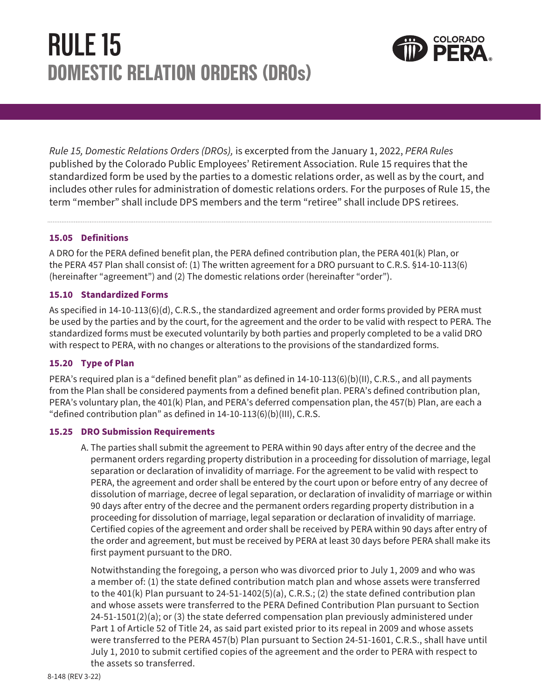# **RULE 15 DOMESTIC RELATION ORDERS (DROs)**



*Rule 15, Domestic Relations Orders (DROs),* is excerpted from the January 1, 2022, *PERA Rules* published by the Colorado Public Employees' Retirement Association. Rule 15 requires that the standardized form be used by the parties to a domestic relations order, as well as by the court, and includes other rules for administration of domestic relations orders. For the purposes of Rule 15, the term "member" shall include DPS members and the term "retiree" shall include DPS retirees.

## **15.05 Definitions**

A DRO for the PERA defined benefit plan, the PERA defined contribution plan, the PERA 401(k) Plan, or the PERA 457 Plan shall consist of: (1) The written agreement for a DRO pursuant to C.R.S. §14-10-113(6) (hereinafter "agreement") and (2) The domestic relations order (hereinafter "order").

## **15.10 Standardized Forms**

As specified in 14-10-113(6)(d), C.R.S., the standardized agreement and order forms provided by PERA must be used by the parties and by the court, for the agreement and the order to be valid with respect to PERA. The standardized forms must be executed voluntarily by both parties and properly completed to be a valid DRO with respect to PERA, with no changes or alterations to the provisions of the standardized forms.

# **15.20 Type of Plan**

PERA's required plan is a "defined benefit plan" as defined in 14-10-113(6)(b)(II), C.R.S., and all payments from the Plan shall be considered payments from a defined benefit plan. PERA's defined contribution plan, PERA's voluntary plan, the 401(k) Plan, and PERA's deferred compensation plan, the 457(b) Plan, are each a "defined contribution plan" as defined in 14-10-113(6)(b)(III), C.R.S.

#### **15.25 DRO Submission Requirements**

A. The parties shall submit the agreement to PERA within 90 days after entry of the decree and the permanent orders regarding property distribution in a proceeding for dissolution of marriage, legal separation or declaration of invalidity of marriage. For the agreement to be valid with respect to PERA, the agreement and order shall be entered by the court upon or before entry of any decree of dissolution of marriage, decree of legal separation, or declaration of invalidity of marriage or within 90 days after entry of the decree and the permanent orders regarding property distribution in a proceeding for dissolution of marriage, legal separation or declaration of invalidity of marriage. Certified copies of the agreement and order shall be received by PERA within 90 days after entry of the order and agreement, but must be received by PERA at least 30 days before PERA shall make its first payment pursuant to the DRO.

 Notwithstanding the foregoing, a person who was divorced prior to July 1, 2009 and who was a member of: (1) the state defined contribution match plan and whose assets were transferred to the 401(k) Plan pursuant to 24-51-1402(5)(a), C.R.S.; (2) the state defined contribution plan and whose assets were transferred to the PERA Defined Contribution Plan pursuant to Section  $24-51-1501(2)(a)$ ; or (3) the state deferred compensation plan previously administered under Part 1 of Article 52 of Title 24, as said part existed prior to its repeal in 2009 and whose assets were transferred to the PERA 457(b) Plan pursuant to Section 24-51-1601, C.R.S., shall have until July 1, 2010 to submit certified copies of the agreement and the order to PERA with respect to the assets so transferred.